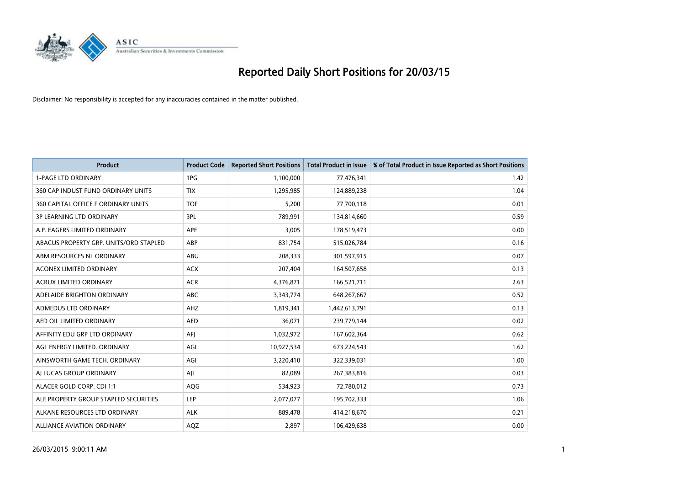

| <b>Product</b>                         | <b>Product Code</b> | <b>Reported Short Positions</b> | <b>Total Product in Issue</b> | % of Total Product in Issue Reported as Short Positions |
|----------------------------------------|---------------------|---------------------------------|-------------------------------|---------------------------------------------------------|
| <b>1-PAGE LTD ORDINARY</b>             | 1PG                 | 1,100,000                       | 77,476,341                    | 1.42                                                    |
| 360 CAP INDUST FUND ORDINARY UNITS     | <b>TIX</b>          | 1,295,985                       | 124,889,238                   | 1.04                                                    |
| 360 CAPITAL OFFICE F ORDINARY UNITS    | <b>TOF</b>          | 5,200                           | 77,700,118                    | 0.01                                                    |
| <b>3P LEARNING LTD ORDINARY</b>        | 3PL                 | 789,991                         | 134,814,660                   | 0.59                                                    |
| A.P. EAGERS LIMITED ORDINARY           | <b>APE</b>          | 3,005                           | 178,519,473                   | 0.00                                                    |
| ABACUS PROPERTY GRP. UNITS/ORD STAPLED | ABP                 | 831,754                         | 515,026,784                   | 0.16                                                    |
| ABM RESOURCES NL ORDINARY              | ABU                 | 208,333                         | 301,597,915                   | 0.07                                                    |
| ACONEX LIMITED ORDINARY                | <b>ACX</b>          | 207,404                         | 164,507,658                   | 0.13                                                    |
| <b>ACRUX LIMITED ORDINARY</b>          | <b>ACR</b>          | 4,376,871                       | 166,521,711                   | 2.63                                                    |
| ADELAIDE BRIGHTON ORDINARY             | <b>ABC</b>          | 3,343,774                       | 648,267,667                   | 0.52                                                    |
| ADMEDUS LTD ORDINARY                   | AHZ                 | 1,819,341                       | 1,442,613,791                 | 0.13                                                    |
| AED OIL LIMITED ORDINARY               | AED                 | 36,071                          | 239,779,144                   | 0.02                                                    |
| AFFINITY EDU GRP LTD ORDINARY          | AFJ                 | 1,032,972                       | 167,602,364                   | 0.62                                                    |
| AGL ENERGY LIMITED. ORDINARY           | AGL                 | 10,927,534                      | 673,224,543                   | 1.62                                                    |
| AINSWORTH GAME TECH. ORDINARY          | AGI                 | 3,220,410                       | 322,339,031                   | 1.00                                                    |
| AI LUCAS GROUP ORDINARY                | AJL                 | 82,089                          | 267,383,816                   | 0.03                                                    |
| ALACER GOLD CORP. CDI 1:1              | AQG                 | 534,923                         | 72,780,012                    | 0.73                                                    |
| ALE PROPERTY GROUP STAPLED SECURITIES  | LEP                 | 2,077,077                       | 195,702,333                   | 1.06                                                    |
| ALKANE RESOURCES LTD ORDINARY          | <b>ALK</b>          | 889,478                         | 414,218,670                   | 0.21                                                    |
| <b>ALLIANCE AVIATION ORDINARY</b>      | AQZ                 | 2,897                           | 106,429,638                   | 0.00                                                    |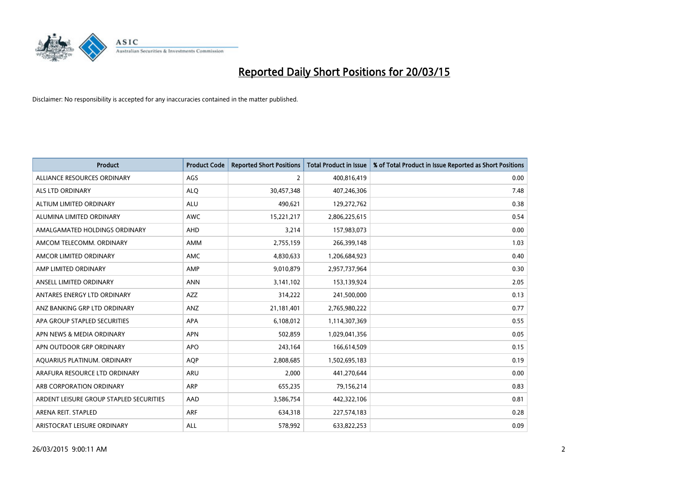

| <b>Product</b>                          | <b>Product Code</b> | <b>Reported Short Positions</b> | <b>Total Product in Issue</b> | % of Total Product in Issue Reported as Short Positions |
|-----------------------------------------|---------------------|---------------------------------|-------------------------------|---------------------------------------------------------|
| ALLIANCE RESOURCES ORDINARY             | AGS                 | $\overline{2}$                  | 400,816,419                   | 0.00                                                    |
| ALS LTD ORDINARY                        | <b>ALQ</b>          | 30,457,348                      | 407,246,306                   | 7.48                                                    |
| ALTIUM LIMITED ORDINARY                 | <b>ALU</b>          | 490,621                         | 129,272,762                   | 0.38                                                    |
| ALUMINA LIMITED ORDINARY                | <b>AWC</b>          | 15,221,217                      | 2,806,225,615                 | 0.54                                                    |
| AMALGAMATED HOLDINGS ORDINARY           | AHD                 | 3,214                           | 157,983,073                   | 0.00                                                    |
| AMCOM TELECOMM, ORDINARY                | AMM                 | 2,755,159                       | 266,399,148                   | 1.03                                                    |
| AMCOR LIMITED ORDINARY                  | AMC                 | 4,830,633                       | 1,206,684,923                 | 0.40                                                    |
| AMP LIMITED ORDINARY                    | AMP                 | 9,010,879                       | 2,957,737,964                 | 0.30                                                    |
| ANSELL LIMITED ORDINARY                 | <b>ANN</b>          | 3,141,102                       | 153,139,924                   | 2.05                                                    |
| ANTARES ENERGY LTD ORDINARY             | <b>AZZ</b>          | 314,222                         | 241,500,000                   | 0.13                                                    |
| ANZ BANKING GRP LTD ORDINARY            | ANZ                 | 21,181,401                      | 2,765,980,222                 | 0.77                                                    |
| APA GROUP STAPLED SECURITIES            | APA                 | 6,108,012                       | 1,114,307,369                 | 0.55                                                    |
| APN NEWS & MEDIA ORDINARY               | <b>APN</b>          | 502,859                         | 1,029,041,356                 | 0.05                                                    |
| APN OUTDOOR GRP ORDINARY                | <b>APO</b>          | 243,164                         | 166,614,509                   | 0.15                                                    |
| AQUARIUS PLATINUM. ORDINARY             | AQP                 | 2,808,685                       | 1,502,695,183                 | 0.19                                                    |
| ARAFURA RESOURCE LTD ORDINARY           | ARU                 | 2,000                           | 441,270,644                   | 0.00                                                    |
| ARB CORPORATION ORDINARY                | ARP                 | 655,235                         | 79,156,214                    | 0.83                                                    |
| ARDENT LEISURE GROUP STAPLED SECURITIES | AAD                 | 3,586,754                       | 442,322,106                   | 0.81                                                    |
| ARENA REIT. STAPLED                     | <b>ARF</b>          | 634,318                         | 227,574,183                   | 0.28                                                    |
| ARISTOCRAT LEISURE ORDINARY             | ALL                 | 578,992                         | 633,822,253                   | 0.09                                                    |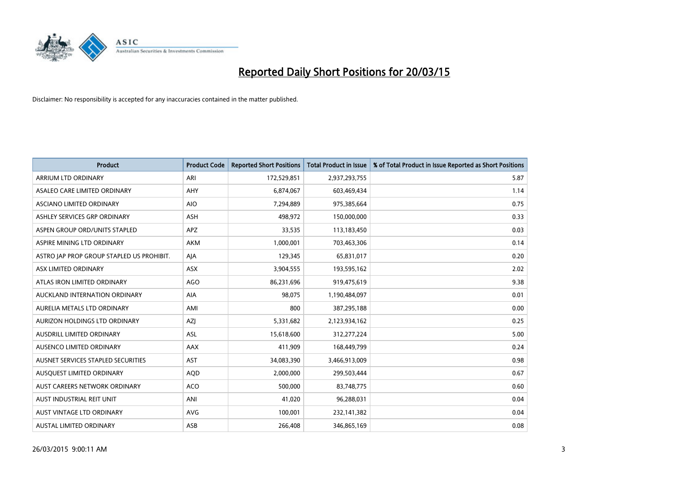

| <b>Product</b>                            | <b>Product Code</b> | <b>Reported Short Positions</b> | <b>Total Product in Issue</b> | % of Total Product in Issue Reported as Short Positions |
|-------------------------------------------|---------------------|---------------------------------|-------------------------------|---------------------------------------------------------|
| ARRIUM LTD ORDINARY                       | ARI                 | 172,529,851                     | 2,937,293,755                 | 5.87                                                    |
| ASALEO CARE LIMITED ORDINARY              | <b>AHY</b>          | 6,874,067                       | 603,469,434                   | 1.14                                                    |
| ASCIANO LIMITED ORDINARY                  | <b>AIO</b>          | 7,294,889                       | 975,385,664                   | 0.75                                                    |
| ASHLEY SERVICES GRP ORDINARY              | <b>ASH</b>          | 498,972                         | 150,000,000                   | 0.33                                                    |
| ASPEN GROUP ORD/UNITS STAPLED             | <b>APZ</b>          | 33,535                          | 113,183,450                   | 0.03                                                    |
| ASPIRE MINING LTD ORDINARY                | AKM                 | 1,000,001                       | 703,463,306                   | 0.14                                                    |
| ASTRO JAP PROP GROUP STAPLED US PROHIBIT. | AJA                 | 129,345                         | 65,831,017                    | 0.20                                                    |
| ASX LIMITED ORDINARY                      | ASX                 | 3,904,555                       | 193,595,162                   | 2.02                                                    |
| ATLAS IRON LIMITED ORDINARY               | <b>AGO</b>          | 86,231,696                      | 919,475,619                   | 9.38                                                    |
| AUCKLAND INTERNATION ORDINARY             | <b>AIA</b>          | 98,075                          | 1,190,484,097                 | 0.01                                                    |
| AURELIA METALS LTD ORDINARY               | AMI                 | 800                             | 387,295,188                   | 0.00                                                    |
| AURIZON HOLDINGS LTD ORDINARY             | AZJ                 | 5,331,682                       | 2,123,934,162                 | 0.25                                                    |
| AUSDRILL LIMITED ORDINARY                 | ASL                 | 15,618,600                      | 312,277,224                   | 5.00                                                    |
| AUSENCO LIMITED ORDINARY                  | AAX                 | 411,909                         | 168,449,799                   | 0.24                                                    |
| AUSNET SERVICES STAPLED SECURITIES        | <b>AST</b>          | 34,083,390                      | 3,466,913,009                 | 0.98                                                    |
| AUSQUEST LIMITED ORDINARY                 | <b>AQD</b>          | 2,000,000                       | 299,503,444                   | 0.67                                                    |
| AUST CAREERS NETWORK ORDINARY             | <b>ACO</b>          | 500,000                         | 83,748,775                    | 0.60                                                    |
| AUST INDUSTRIAL REIT UNIT                 | ANI                 | 41,020                          | 96,288,031                    | 0.04                                                    |
| AUST VINTAGE LTD ORDINARY                 | <b>AVG</b>          | 100,001                         | 232,141,382                   | 0.04                                                    |
| AUSTAL LIMITED ORDINARY                   | ASB                 | 266,408                         | 346,865,169                   | 0.08                                                    |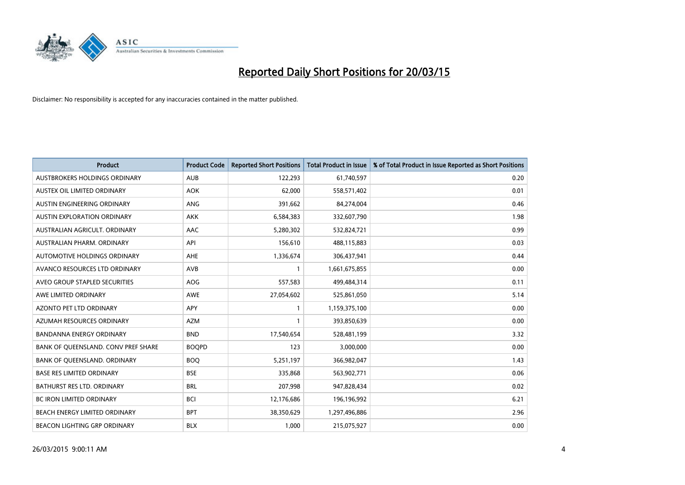

| <b>Product</b>                      | <b>Product Code</b> | <b>Reported Short Positions</b> | <b>Total Product in Issue</b> | % of Total Product in Issue Reported as Short Positions |
|-------------------------------------|---------------------|---------------------------------|-------------------------------|---------------------------------------------------------|
| AUSTBROKERS HOLDINGS ORDINARY       | <b>AUB</b>          | 122,293                         | 61,740,597                    | 0.20                                                    |
| AUSTEX OIL LIMITED ORDINARY         | <b>AOK</b>          | 62,000                          | 558,571,402                   | 0.01                                                    |
| AUSTIN ENGINEERING ORDINARY         | <b>ANG</b>          | 391,662                         | 84,274,004                    | 0.46                                                    |
| AUSTIN EXPLORATION ORDINARY         | <b>AKK</b>          | 6,584,383                       | 332,607,790                   | 1.98                                                    |
| AUSTRALIAN AGRICULT, ORDINARY       | AAC                 | 5,280,302                       | 532,824,721                   | 0.99                                                    |
| AUSTRALIAN PHARM, ORDINARY          | API                 | 156,610                         | 488,115,883                   | 0.03                                                    |
| AUTOMOTIVE HOLDINGS ORDINARY        | AHE                 | 1,336,674                       | 306,437,941                   | 0.44                                                    |
| AVANCO RESOURCES LTD ORDINARY       | AVB                 | $\mathbf{1}$                    | 1,661,675,855                 | 0.00                                                    |
| AVEO GROUP STAPLED SECURITIES       | <b>AOG</b>          | 557,583                         | 499,484,314                   | 0.11                                                    |
| AWE LIMITED ORDINARY                | <b>AWE</b>          | 27,054,602                      | 525,861,050                   | 5.14                                                    |
| AZONTO PET LTD ORDINARY             | APY                 | $\mathbf{1}$                    | 1,159,375,100                 | 0.00                                                    |
| AZUMAH RESOURCES ORDINARY           | AZM                 | $\mathbf{1}$                    | 393,850,639                   | 0.00                                                    |
| <b>BANDANNA ENERGY ORDINARY</b>     | <b>BND</b>          | 17,540,654                      | 528,481,199                   | 3.32                                                    |
| BANK OF QUEENSLAND. CONV PREF SHARE | <b>BOOPD</b>        | 123                             | 3,000,000                     | 0.00                                                    |
| BANK OF QUEENSLAND. ORDINARY        | <b>BOQ</b>          | 5,251,197                       | 366,982,047                   | 1.43                                                    |
| <b>BASE RES LIMITED ORDINARY</b>    | <b>BSE</b>          | 335,868                         | 563,902,771                   | 0.06                                                    |
| BATHURST RES LTD. ORDINARY          | <b>BRL</b>          | 207,998                         | 947,828,434                   | 0.02                                                    |
| BC IRON LIMITED ORDINARY            | <b>BCI</b>          | 12,176,686                      | 196,196,992                   | 6.21                                                    |
| BEACH ENERGY LIMITED ORDINARY       | <b>BPT</b>          | 38,350,629                      | 1,297,496,886                 | 2.96                                                    |
| BEACON LIGHTING GRP ORDINARY        | <b>BLX</b>          | 1,000                           | 215,075,927                   | 0.00                                                    |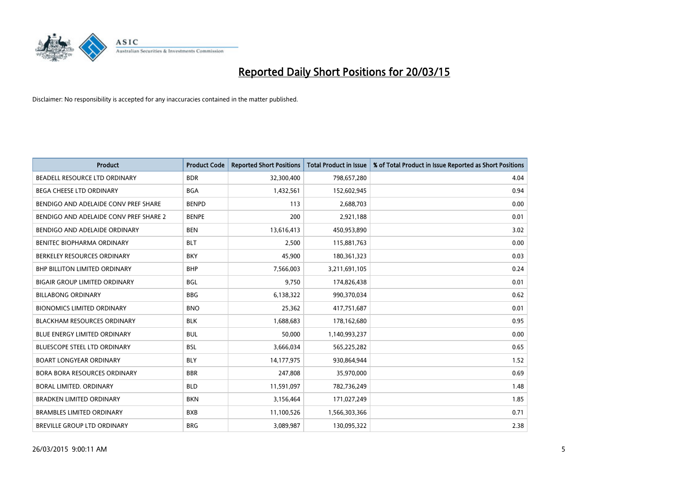

| <b>Product</b>                         | <b>Product Code</b> | <b>Reported Short Positions</b> | <b>Total Product in Issue</b> | % of Total Product in Issue Reported as Short Positions |
|----------------------------------------|---------------------|---------------------------------|-------------------------------|---------------------------------------------------------|
| BEADELL RESOURCE LTD ORDINARY          | <b>BDR</b>          | 32,300,400                      | 798,657,280                   | 4.04                                                    |
| <b>BEGA CHEESE LTD ORDINARY</b>        | <b>BGA</b>          | 1,432,561                       | 152,602,945                   | 0.94                                                    |
| BENDIGO AND ADELAIDE CONV PREF SHARE   | <b>BENPD</b>        | 113                             | 2,688,703                     | 0.00                                                    |
| BENDIGO AND ADELAIDE CONV PREF SHARE 2 | <b>BENPE</b>        | 200                             | 2,921,188                     | 0.01                                                    |
| BENDIGO AND ADELAIDE ORDINARY          | <b>BEN</b>          | 13,616,413                      | 450,953,890                   | 3.02                                                    |
| BENITEC BIOPHARMA ORDINARY             | <b>BLT</b>          | 2,500                           | 115,881,763                   | 0.00                                                    |
| BERKELEY RESOURCES ORDINARY            | <b>BKY</b>          | 45,900                          | 180,361,323                   | 0.03                                                    |
| <b>BHP BILLITON LIMITED ORDINARY</b>   | <b>BHP</b>          | 7,566,003                       | 3,211,691,105                 | 0.24                                                    |
| <b>BIGAIR GROUP LIMITED ORDINARY</b>   | <b>BGL</b>          | 9,750                           | 174,826,438                   | 0.01                                                    |
| <b>BILLABONG ORDINARY</b>              | <b>BBG</b>          | 6,138,322                       | 990,370,034                   | 0.62                                                    |
| <b>BIONOMICS LIMITED ORDINARY</b>      | <b>BNO</b>          | 25,362                          | 417,751,687                   | 0.01                                                    |
| <b>BLACKHAM RESOURCES ORDINARY</b>     | <b>BLK</b>          | 1,688,683                       | 178,162,680                   | 0.95                                                    |
| <b>BLUE ENERGY LIMITED ORDINARY</b>    | <b>BUL</b>          | 50,000                          | 1,140,993,237                 | 0.00                                                    |
| <b>BLUESCOPE STEEL LTD ORDINARY</b>    | <b>BSL</b>          | 3,666,034                       | 565,225,282                   | 0.65                                                    |
| <b>BOART LONGYEAR ORDINARY</b>         | <b>BLY</b>          | 14,177,975                      | 930,864,944                   | 1.52                                                    |
| <b>BORA BORA RESOURCES ORDINARY</b>    | <b>BBR</b>          | 247,808                         | 35,970,000                    | 0.69                                                    |
| <b>BORAL LIMITED, ORDINARY</b>         | <b>BLD</b>          | 11,591,097                      | 782,736,249                   | 1.48                                                    |
| <b>BRADKEN LIMITED ORDINARY</b>        | <b>BKN</b>          | 3,156,464                       | 171,027,249                   | 1.85                                                    |
| <b>BRAMBLES LIMITED ORDINARY</b>       | <b>BXB</b>          | 11,100,526                      | 1,566,303,366                 | 0.71                                                    |
| BREVILLE GROUP LTD ORDINARY            | <b>BRG</b>          | 3,089,987                       | 130,095,322                   | 2.38                                                    |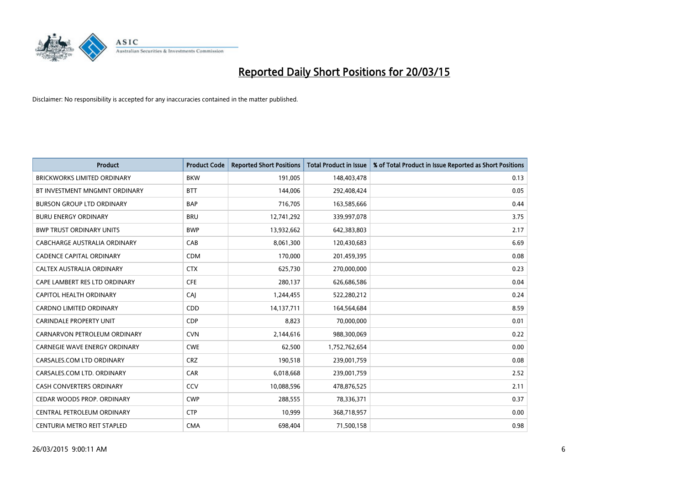

| Product                              | <b>Product Code</b> | <b>Reported Short Positions</b> | <b>Total Product in Issue</b> | % of Total Product in Issue Reported as Short Positions |
|--------------------------------------|---------------------|---------------------------------|-------------------------------|---------------------------------------------------------|
| <b>BRICKWORKS LIMITED ORDINARY</b>   | <b>BKW</b>          | 191,005                         | 148,403,478                   | 0.13                                                    |
| BT INVESTMENT MNGMNT ORDINARY        | <b>BTT</b>          | 144,006                         | 292,408,424                   | 0.05                                                    |
| <b>BURSON GROUP LTD ORDINARY</b>     | <b>BAP</b>          | 716,705                         | 163,585,666                   | 0.44                                                    |
| <b>BURU ENERGY ORDINARY</b>          | <b>BRU</b>          | 12,741,292                      | 339,997,078                   | 3.75                                                    |
| <b>BWP TRUST ORDINARY UNITS</b>      | <b>BWP</b>          | 13,932,662                      | 642,383,803                   | 2.17                                                    |
| CABCHARGE AUSTRALIA ORDINARY         | CAB                 | 8,061,300                       | 120,430,683                   | 6.69                                                    |
| <b>CADENCE CAPITAL ORDINARY</b>      | <b>CDM</b>          | 170,000                         | 201,459,395                   | 0.08                                                    |
| CALTEX AUSTRALIA ORDINARY            | <b>CTX</b>          | 625,730                         | 270,000,000                   | 0.23                                                    |
| CAPE LAMBERT RES LTD ORDINARY        | <b>CFE</b>          | 280,137                         | 626,686,586                   | 0.04                                                    |
| CAPITOL HEALTH ORDINARY              | CAJ                 | 1,244,455                       | 522,280,212                   | 0.24                                                    |
| <b>CARDNO LIMITED ORDINARY</b>       | CDD                 | 14,137,711                      | 164,564,684                   | 8.59                                                    |
| <b>CARINDALE PROPERTY UNIT</b>       | <b>CDP</b>          | 8,823                           | 70,000,000                    | 0.01                                                    |
| CARNARVON PETROLEUM ORDINARY         | <b>CVN</b>          | 2,144,616                       | 988,300,069                   | 0.22                                                    |
| <b>CARNEGIE WAVE ENERGY ORDINARY</b> | <b>CWE</b>          | 62,500                          | 1,752,762,654                 | 0.00                                                    |
| CARSALES.COM LTD ORDINARY            | <b>CRZ</b>          | 190,518                         | 239,001,759                   | 0.08                                                    |
| CARSALES.COM LTD. ORDINARY           | <b>CAR</b>          | 6,018,668                       | 239,001,759                   | 2.52                                                    |
| CASH CONVERTERS ORDINARY             | CCV                 | 10,088,596                      | 478,876,525                   | 2.11                                                    |
| CEDAR WOODS PROP. ORDINARY           | <b>CWP</b>          | 288,555                         | 78,336,371                    | 0.37                                                    |
| CENTRAL PETROLEUM ORDINARY           | <b>CTP</b>          | 10,999                          | 368,718,957                   | 0.00                                                    |
| CENTURIA METRO REIT STAPLED          | <b>CMA</b>          | 698,404                         | 71,500,158                    | 0.98                                                    |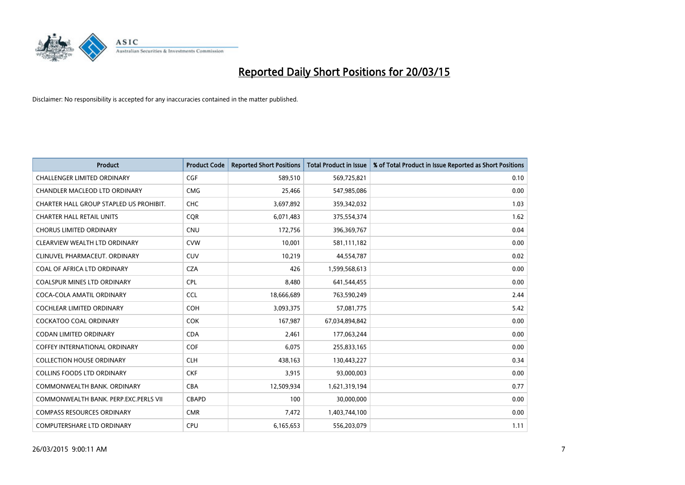

| <b>Product</b>                          | <b>Product Code</b> | <b>Reported Short Positions</b> | <b>Total Product in Issue</b> | % of Total Product in Issue Reported as Short Positions |
|-----------------------------------------|---------------------|---------------------------------|-------------------------------|---------------------------------------------------------|
| <b>CHALLENGER LIMITED ORDINARY</b>      | <b>CGF</b>          | 589,510                         | 569,725,821                   | 0.10                                                    |
| CHANDLER MACLEOD LTD ORDINARY           | <b>CMG</b>          | 25,466                          | 547,985,086                   | 0.00                                                    |
| CHARTER HALL GROUP STAPLED US PROHIBIT. | <b>CHC</b>          | 3,697,892                       | 359,342,032                   | 1.03                                                    |
| <b>CHARTER HALL RETAIL UNITS</b>        | <b>COR</b>          | 6,071,483                       | 375,554,374                   | 1.62                                                    |
| <b>CHORUS LIMITED ORDINARY</b>          | <b>CNU</b>          | 172,756                         | 396,369,767                   | 0.04                                                    |
| CLEARVIEW WEALTH LTD ORDINARY           | <b>CVW</b>          | 10,001                          | 581,111,182                   | 0.00                                                    |
| CLINUVEL PHARMACEUT, ORDINARY           | <b>CUV</b>          | 10,219                          | 44,554,787                    | 0.02                                                    |
| COAL OF AFRICA LTD ORDINARY             | <b>CZA</b>          | 426                             | 1,599,568,613                 | 0.00                                                    |
| <b>COALSPUR MINES LTD ORDINARY</b>      | <b>CPL</b>          | 8,480                           | 641,544,455                   | 0.00                                                    |
| COCA-COLA AMATIL ORDINARY               | <b>CCL</b>          | 18,666,689                      | 763,590,249                   | 2.44                                                    |
| COCHLEAR LIMITED ORDINARY               | <b>COH</b>          | 3,093,375                       | 57,081,775                    | 5.42                                                    |
| COCKATOO COAL ORDINARY                  | <b>COK</b>          | 167,987                         | 67,034,894,842                | 0.00                                                    |
| <b>CODAN LIMITED ORDINARY</b>           | <b>CDA</b>          | 2,461                           | 177,063,244                   | 0.00                                                    |
| <b>COFFEY INTERNATIONAL ORDINARY</b>    | <b>COF</b>          | 6,075                           | 255,833,165                   | 0.00                                                    |
| <b>COLLECTION HOUSE ORDINARY</b>        | <b>CLH</b>          | 438,163                         | 130,443,227                   | 0.34                                                    |
| <b>COLLINS FOODS LTD ORDINARY</b>       | <b>CKF</b>          | 3,915                           | 93,000,003                    | 0.00                                                    |
| COMMONWEALTH BANK, ORDINARY             | <b>CBA</b>          | 12,509,934                      | 1,621,319,194                 | 0.77                                                    |
| COMMONWEALTH BANK, PERP.EXC.PERLS VII   | <b>CBAPD</b>        | 100                             | 30,000,000                    | 0.00                                                    |
| <b>COMPASS RESOURCES ORDINARY</b>       | <b>CMR</b>          | 7,472                           | 1,403,744,100                 | 0.00                                                    |
| <b>COMPUTERSHARE LTD ORDINARY</b>       | <b>CPU</b>          | 6,165,653                       | 556,203,079                   | 1.11                                                    |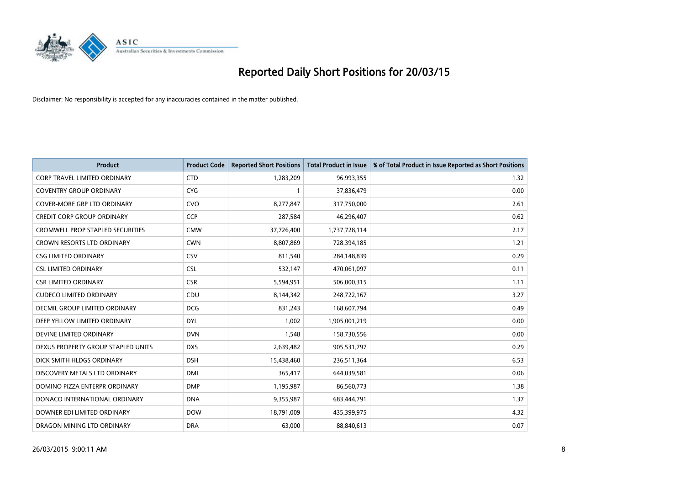

| <b>Product</b>                          | <b>Product Code</b> | <b>Reported Short Positions</b> | <b>Total Product in Issue</b> | % of Total Product in Issue Reported as Short Positions |
|-----------------------------------------|---------------------|---------------------------------|-------------------------------|---------------------------------------------------------|
| <b>CORP TRAVEL LIMITED ORDINARY</b>     | <b>CTD</b>          | 1,283,209                       | 96,993,355                    | 1.32                                                    |
| <b>COVENTRY GROUP ORDINARY</b>          | <b>CYG</b>          |                                 | 37,836,479                    | 0.00                                                    |
| <b>COVER-MORE GRP LTD ORDINARY</b>      | <b>CVO</b>          | 8,277,847                       | 317,750,000                   | 2.61                                                    |
| <b>CREDIT CORP GROUP ORDINARY</b>       | <b>CCP</b>          | 287,584                         | 46,296,407                    | 0.62                                                    |
| <b>CROMWELL PROP STAPLED SECURITIES</b> | <b>CMW</b>          | 37,726,400                      | 1,737,728,114                 | 2.17                                                    |
| <b>CROWN RESORTS LTD ORDINARY</b>       | <b>CWN</b>          | 8,807,869                       | 728,394,185                   | 1.21                                                    |
| <b>CSG LIMITED ORDINARY</b>             | <b>CSV</b>          | 811,540                         | 284,148,839                   | 0.29                                                    |
| <b>CSL LIMITED ORDINARY</b>             | <b>CSL</b>          | 532,147                         | 470,061,097                   | 0.11                                                    |
| <b>CSR LIMITED ORDINARY</b>             | <b>CSR</b>          | 5,594,951                       | 506,000,315                   | 1.11                                                    |
| <b>CUDECO LIMITED ORDINARY</b>          | CDU                 | 8,144,342                       | 248,722,167                   | 3.27                                                    |
| DECMIL GROUP LIMITED ORDINARY           | <b>DCG</b>          | 831,243                         | 168,607,794                   | 0.49                                                    |
| DEEP YELLOW LIMITED ORDINARY            | <b>DYL</b>          | 1,002                           | 1,905,001,219                 | 0.00                                                    |
| DEVINE LIMITED ORDINARY                 | <b>DVN</b>          | 1,548                           | 158,730,556                   | 0.00                                                    |
| DEXUS PROPERTY GROUP STAPLED UNITS      | <b>DXS</b>          | 2,639,482                       | 905,531,797                   | 0.29                                                    |
| DICK SMITH HLDGS ORDINARY               | <b>DSH</b>          | 15,438,460                      | 236,511,364                   | 6.53                                                    |
| DISCOVERY METALS LTD ORDINARY           | <b>DML</b>          | 365,417                         | 644,039,581                   | 0.06                                                    |
| DOMINO PIZZA ENTERPR ORDINARY           | <b>DMP</b>          | 1,195,987                       | 86,560,773                    | 1.38                                                    |
| DONACO INTERNATIONAL ORDINARY           | <b>DNA</b>          | 9,355,987                       | 683,444,791                   | 1.37                                                    |
| DOWNER EDI LIMITED ORDINARY             | <b>DOW</b>          | 18,791,009                      | 435,399,975                   | 4.32                                                    |
| DRAGON MINING LTD ORDINARY              | <b>DRA</b>          | 63,000                          | 88,840,613                    | 0.07                                                    |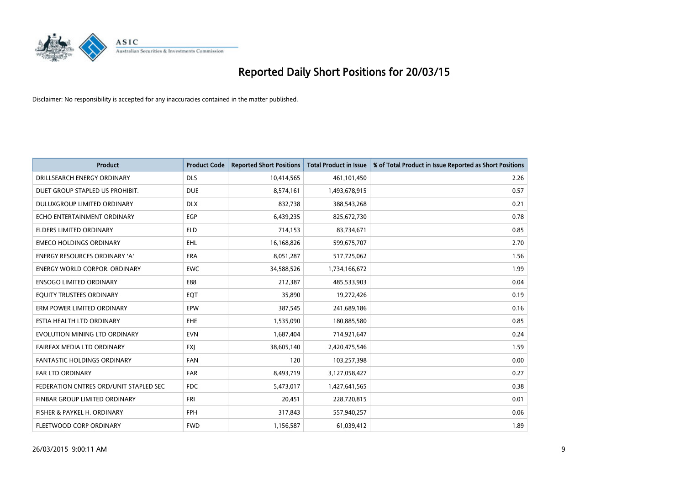

| <b>Product</b>                         | <b>Product Code</b> | <b>Reported Short Positions</b> | <b>Total Product in Issue</b> | % of Total Product in Issue Reported as Short Positions |
|----------------------------------------|---------------------|---------------------------------|-------------------------------|---------------------------------------------------------|
| DRILLSEARCH ENERGY ORDINARY            | <b>DLS</b>          | 10,414,565                      | 461,101,450                   | 2.26                                                    |
| DUET GROUP STAPLED US PROHIBIT.        | <b>DUE</b>          | 8,574,161                       | 1,493,678,915                 | 0.57                                                    |
| DULUXGROUP LIMITED ORDINARY            | <b>DLX</b>          | 832,738                         | 388,543,268                   | 0.21                                                    |
| ECHO ENTERTAINMENT ORDINARY            | <b>EGP</b>          | 6,439,235                       | 825,672,730                   | 0.78                                                    |
| <b>ELDERS LIMITED ORDINARY</b>         | <b>ELD</b>          | 714,153                         | 83,734,671                    | 0.85                                                    |
| <b>EMECO HOLDINGS ORDINARY</b>         | <b>EHL</b>          | 16,168,826                      | 599,675,707                   | 2.70                                                    |
| ENERGY RESOURCES ORDINARY 'A'          | <b>ERA</b>          | 8,051,287                       | 517,725,062                   | 1.56                                                    |
| <b>ENERGY WORLD CORPOR. ORDINARY</b>   | <b>EWC</b>          | 34,588,526                      | 1,734,166,672                 | 1.99                                                    |
| <b>ENSOGO LIMITED ORDINARY</b>         | E88                 | 212,387                         | 485,533,903                   | 0.04                                                    |
| EQUITY TRUSTEES ORDINARY               | EQT                 | 35,890                          | 19,272,426                    | 0.19                                                    |
| ERM POWER LIMITED ORDINARY             | <b>EPW</b>          | 387,545                         | 241,689,186                   | 0.16                                                    |
| ESTIA HEALTH LTD ORDINARY              | <b>EHE</b>          | 1,535,090                       | 180,885,580                   | 0.85                                                    |
| EVOLUTION MINING LTD ORDINARY          | <b>EVN</b>          | 1,687,404                       | 714,921,647                   | 0.24                                                    |
| FAIRFAX MEDIA LTD ORDINARY             | <b>FXI</b>          | 38,605,140                      | 2,420,475,546                 | 1.59                                                    |
| <b>FANTASTIC HOLDINGS ORDINARY</b>     | <b>FAN</b>          | 120                             | 103,257,398                   | 0.00                                                    |
| FAR LTD ORDINARY                       | <b>FAR</b>          | 8,493,719                       | 3,127,058,427                 | 0.27                                                    |
| FEDERATION CNTRES ORD/UNIT STAPLED SEC | <b>FDC</b>          | 5,473,017                       | 1,427,641,565                 | 0.38                                                    |
| FINBAR GROUP LIMITED ORDINARY          | <b>FRI</b>          | 20,451                          | 228,720,815                   | 0.01                                                    |
| FISHER & PAYKEL H. ORDINARY            | <b>FPH</b>          | 317,843                         | 557,940,257                   | 0.06                                                    |
| FLEETWOOD CORP ORDINARY                | <b>FWD</b>          | 1,156,587                       | 61,039,412                    | 1.89                                                    |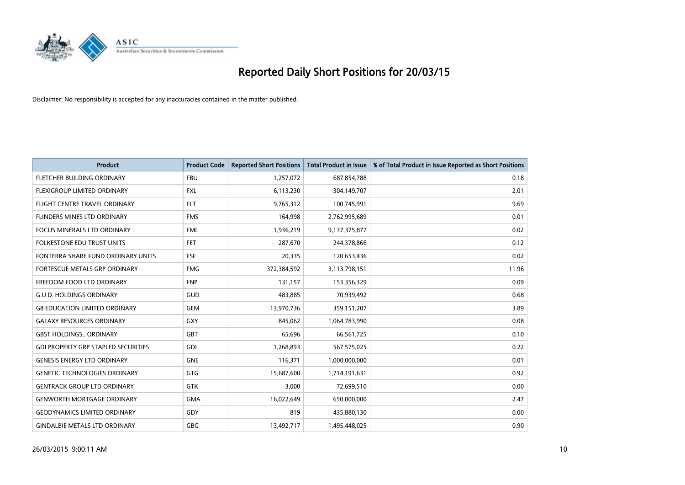

| <b>Product</b>                             | <b>Product Code</b> | <b>Reported Short Positions</b> | <b>Total Product in Issue</b> | % of Total Product in Issue Reported as Short Positions |
|--------------------------------------------|---------------------|---------------------------------|-------------------------------|---------------------------------------------------------|
| FLETCHER BUILDING ORDINARY                 | <b>FBU</b>          | 1,257,072                       | 687,854,788                   | 0.18                                                    |
| FLEXIGROUP LIMITED ORDINARY                | FXL                 | 6,113,230                       | 304,149,707                   | 2.01                                                    |
| FLIGHT CENTRE TRAVEL ORDINARY              | <b>FLT</b>          | 9,765,312                       | 100,745,991                   | 9.69                                                    |
| FLINDERS MINES LTD ORDINARY                | <b>FMS</b>          | 164,998                         | 2,762,995,689                 | 0.01                                                    |
| <b>FOCUS MINERALS LTD ORDINARY</b>         | <b>FML</b>          | 1,936,219                       | 9,137,375,877                 | 0.02                                                    |
| <b>FOLKESTONE EDU TRUST UNITS</b>          | FET.                | 287,670                         | 244,378,866                   | 0.12                                                    |
| FONTERRA SHARE FUND ORDINARY UNITS         | <b>FSF</b>          | 20,335                          | 120,653,436                   | 0.02                                                    |
| FORTESCUE METALS GRP ORDINARY              | <b>FMG</b>          | 372,384,592                     | 3,113,798,151                 | 11.96                                                   |
| FREEDOM FOOD LTD ORDINARY                  | <b>FNP</b>          | 131,157                         | 153,356,329                   | 0.09                                                    |
| <b>G.U.D. HOLDINGS ORDINARY</b>            | GUD                 | 483,885                         | 70,939,492                    | 0.68                                                    |
| <b>G8 EDUCATION LIMITED ORDINARY</b>       | <b>GEM</b>          | 13,970,736                      | 359,151,207                   | 3.89                                                    |
| <b>GALAXY RESOURCES ORDINARY</b>           | <b>GXY</b>          | 845,062                         | 1,064,783,990                 | 0.08                                                    |
| <b>GBST HOLDINGS ORDINARY</b>              | GBT                 | 65,696                          | 66,561,725                    | 0.10                                                    |
| <b>GDI PROPERTY GRP STAPLED SECURITIES</b> | GDI                 | 1,268,893                       | 567,575,025                   | 0.22                                                    |
| <b>GENESIS ENERGY LTD ORDINARY</b>         | <b>GNE</b>          | 116,371                         | 1,000,000,000                 | 0.01                                                    |
| <b>GENETIC TECHNOLOGIES ORDINARY</b>       | GTG                 | 15,687,600                      | 1,714,191,631                 | 0.92                                                    |
| <b>GENTRACK GROUP LTD ORDINARY</b>         | GTK                 | 3,000                           | 72,699,510                    | 0.00                                                    |
| <b>GENWORTH MORTGAGE ORDINARY</b>          | <b>GMA</b>          | 16,022,649                      | 650,000,000                   | 2.47                                                    |
| <b>GEODYNAMICS LIMITED ORDINARY</b>        | GDY                 | 819                             | 435,880,130                   | 0.00                                                    |
| <b>GINDALBIE METALS LTD ORDINARY</b>       | GBG                 | 13,492,717                      | 1,495,448,025                 | 0.90                                                    |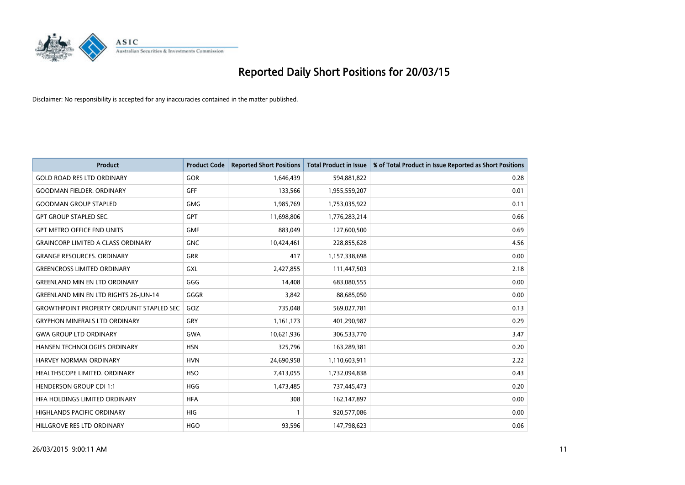

| <b>Product</b>                                   | <b>Product Code</b> | <b>Reported Short Positions</b> | <b>Total Product in Issue</b> | % of Total Product in Issue Reported as Short Positions |
|--------------------------------------------------|---------------------|---------------------------------|-------------------------------|---------------------------------------------------------|
| <b>GOLD ROAD RES LTD ORDINARY</b>                | <b>GOR</b>          | 1,646,439                       | 594,881,822                   | 0.28                                                    |
| <b>GOODMAN FIELDER, ORDINARY</b>                 | GFF                 | 133,566                         | 1,955,559,207                 | 0.01                                                    |
| <b>GOODMAN GROUP STAPLED</b>                     | <b>GMG</b>          | 1,985,769                       | 1,753,035,922                 | 0.11                                                    |
| <b>GPT GROUP STAPLED SEC.</b>                    | GPT                 | 11,698,806                      | 1,776,283,214                 | 0.66                                                    |
| <b>GPT METRO OFFICE FND UNITS</b>                | <b>GMF</b>          | 883,049                         | 127,600,500                   | 0.69                                                    |
| <b>GRAINCORP LIMITED A CLASS ORDINARY</b>        | <b>GNC</b>          | 10,424,461                      | 228,855,628                   | 4.56                                                    |
| <b>GRANGE RESOURCES, ORDINARY</b>                | GRR                 | 417                             | 1,157,338,698                 | 0.00                                                    |
| <b>GREENCROSS LIMITED ORDINARY</b>               | GXL                 | 2,427,855                       | 111,447,503                   | 2.18                                                    |
| <b>GREENLAND MIN EN LTD ORDINARY</b>             | GGG                 | 14,408                          | 683,080,555                   | 0.00                                                    |
| <b>GREENLAND MIN EN LTD RIGHTS 26-JUN-14</b>     | GGGR                | 3,842                           | 88,685,050                    | 0.00                                                    |
| <b>GROWTHPOINT PROPERTY ORD/UNIT STAPLED SEC</b> | GOZ                 | 735,048                         | 569,027,781                   | 0.13                                                    |
| <b>GRYPHON MINERALS LTD ORDINARY</b>             | GRY                 | 1,161,173                       | 401,290,987                   | 0.29                                                    |
| <b>GWA GROUP LTD ORDINARY</b>                    | <b>GWA</b>          | 10,621,936                      | 306,533,770                   | 3.47                                                    |
| HANSEN TECHNOLOGIES ORDINARY                     | <b>HSN</b>          | 325,796                         | 163,289,381                   | 0.20                                                    |
| <b>HARVEY NORMAN ORDINARY</b>                    | <b>HVN</b>          | 24,690,958                      | 1,110,603,911                 | 2.22                                                    |
| HEALTHSCOPE LIMITED. ORDINARY                    | <b>HSO</b>          | 7,413,055                       | 1,732,094,838                 | 0.43                                                    |
| <b>HENDERSON GROUP CDI 1:1</b>                   | <b>HGG</b>          | 1,473,485                       | 737,445,473                   | 0.20                                                    |
| HFA HOLDINGS LIMITED ORDINARY                    | <b>HFA</b>          | 308                             | 162,147,897                   | 0.00                                                    |
| <b>HIGHLANDS PACIFIC ORDINARY</b>                | <b>HIG</b>          | 1                               | 920,577,086                   | 0.00                                                    |
| HILLGROVE RES LTD ORDINARY                       | <b>HGO</b>          | 93,596                          | 147,798,623                   | 0.06                                                    |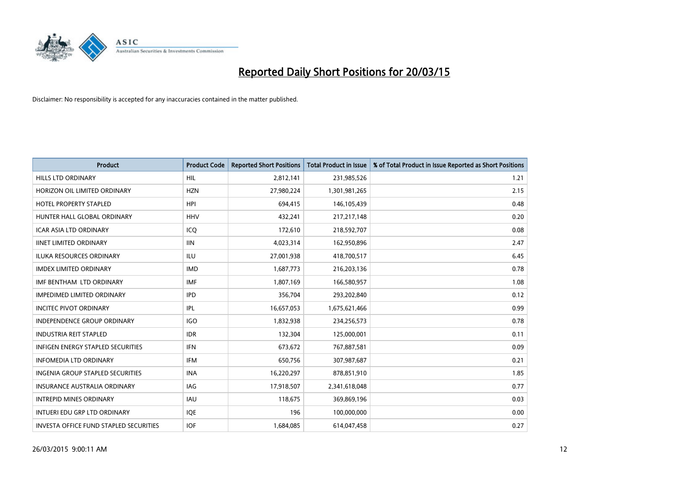

| <b>Product</b>                           | <b>Product Code</b> | <b>Reported Short Positions</b> | <b>Total Product in Issue</b> | % of Total Product in Issue Reported as Short Positions |
|------------------------------------------|---------------------|---------------------------------|-------------------------------|---------------------------------------------------------|
| <b>HILLS LTD ORDINARY</b>                | <b>HIL</b>          | 2,812,141                       | 231,985,526                   | 1.21                                                    |
| HORIZON OIL LIMITED ORDINARY             | <b>HZN</b>          | 27,980,224                      | 1,301,981,265                 | 2.15                                                    |
| <b>HOTEL PROPERTY STAPLED</b>            | <b>HPI</b>          | 694,415                         | 146,105,439                   | 0.48                                                    |
| HUNTER HALL GLOBAL ORDINARY              | <b>HHV</b>          | 432,241                         | 217,217,148                   | 0.20                                                    |
| <b>ICAR ASIA LTD ORDINARY</b>            | ICO                 | 172,610                         | 218,592,707                   | 0.08                                                    |
| <b>IINET LIMITED ORDINARY</b>            | <b>IIN</b>          | 4,023,314                       | 162,950,896                   | 2.47                                                    |
| <b>ILUKA RESOURCES ORDINARY</b>          | <b>ILU</b>          | 27,001,938                      | 418,700,517                   | 6.45                                                    |
| <b>IMDEX LIMITED ORDINARY</b>            | <b>IMD</b>          | 1,687,773                       | 216,203,136                   | 0.78                                                    |
| IMF BENTHAM LTD ORDINARY                 | <b>IMF</b>          | 1,807,169                       | 166,580,957                   | 1.08                                                    |
| <b>IMPEDIMED LIMITED ORDINARY</b>        | <b>IPD</b>          | 356,704                         | 293,202,840                   | 0.12                                                    |
| <b>INCITEC PIVOT ORDINARY</b>            | IPL                 | 16,657,053                      | 1,675,621,466                 | 0.99                                                    |
| <b>INDEPENDENCE GROUP ORDINARY</b>       | <b>IGO</b>          | 1,832,938                       | 234,256,573                   | 0.78                                                    |
| <b>INDUSTRIA REIT STAPLED</b>            | <b>IDR</b>          | 132,304                         | 125,000,001                   | 0.11                                                    |
| <b>INFIGEN ENERGY STAPLED SECURITIES</b> | <b>IFN</b>          | 673,672                         | 767,887,581                   | 0.09                                                    |
| <b>INFOMEDIA LTD ORDINARY</b>            | <b>IFM</b>          | 650,756                         | 307,987,687                   | 0.21                                                    |
| <b>INGENIA GROUP STAPLED SECURITIES</b>  | <b>INA</b>          | 16,220,297                      | 878,851,910                   | 1.85                                                    |
| INSURANCE AUSTRALIA ORDINARY             | IAG                 | 17,918,507                      | 2,341,618,048                 | 0.77                                                    |
| <b>INTREPID MINES ORDINARY</b>           | <b>IAU</b>          | 118,675                         | 369,869,196                   | 0.03                                                    |
| INTUERI EDU GRP LTD ORDINARY             | <b>IOE</b>          | 196                             | 100,000,000                   | 0.00                                                    |
| INVESTA OFFICE FUND STAPLED SECURITIES   | IOF                 | 1,684,085                       | 614,047,458                   | 0.27                                                    |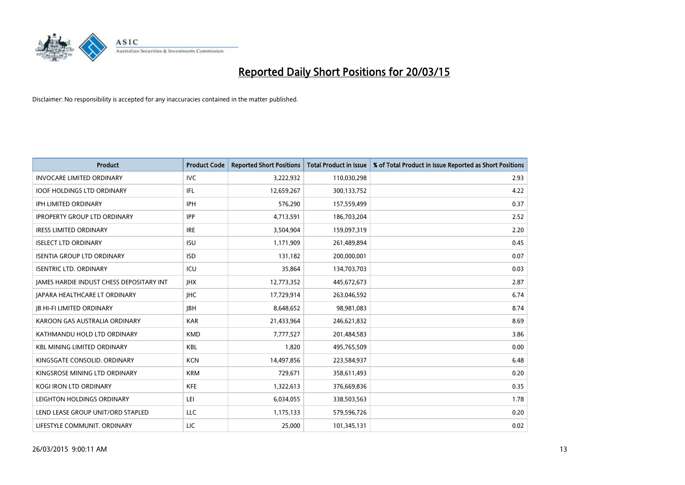

| <b>Product</b>                                  | <b>Product Code</b> | <b>Reported Short Positions</b> | <b>Total Product in Issue</b> | % of Total Product in Issue Reported as Short Positions |
|-------------------------------------------------|---------------------|---------------------------------|-------------------------------|---------------------------------------------------------|
| <b>INVOCARE LIMITED ORDINARY</b>                | <b>IVC</b>          | 3,222,932                       | 110,030,298                   | 2.93                                                    |
| <b>IOOF HOLDINGS LTD ORDINARY</b>               | IFL                 | 12,659,267                      | 300,133,752                   | 4.22                                                    |
| IPH LIMITED ORDINARY                            | <b>IPH</b>          | 576,290                         | 157,559,499                   | 0.37                                                    |
| <b>IPROPERTY GROUP LTD ORDINARY</b>             | <b>IPP</b>          | 4,713,591                       | 186,703,204                   | 2.52                                                    |
| <b>IRESS LIMITED ORDINARY</b>                   | <b>IRE</b>          | 3,504,904                       | 159,097,319                   | 2.20                                                    |
| <b>ISELECT LTD ORDINARY</b>                     | <b>ISU</b>          | 1,171,909                       | 261,489,894                   | 0.45                                                    |
| <b>ISENTIA GROUP LTD ORDINARY</b>               | <b>ISD</b>          | 131,182                         | 200,000,001                   | 0.07                                                    |
| <b>ISENTRIC LTD. ORDINARY</b>                   | ICU                 | 35,864                          | 134,703,703                   | 0.03                                                    |
| <b>JAMES HARDIE INDUST CHESS DEPOSITARY INT</b> | <b>IHX</b>          | 12,773,352                      | 445,672,673                   | 2.87                                                    |
| JAPARA HEALTHCARE LT ORDINARY                   | <b>IHC</b>          | 17,729,914                      | 263,046,592                   | 6.74                                                    |
| <b>JB HI-FI LIMITED ORDINARY</b>                | <b>JBH</b>          | 8,648,652                       | 98,981,083                    | 8.74                                                    |
| KAROON GAS AUSTRALIA ORDINARY                   | <b>KAR</b>          | 21,433,964                      | 246,621,832                   | 8.69                                                    |
| KATHMANDU HOLD LTD ORDINARY                     | <b>KMD</b>          | 7,777,527                       | 201,484,583                   | 3.86                                                    |
| <b>KBL MINING LIMITED ORDINARY</b>              | <b>KBL</b>          | 1,820                           | 495,765,509                   | 0.00                                                    |
| KINGSGATE CONSOLID. ORDINARY                    | <b>KCN</b>          | 14,497,856                      | 223,584,937                   | 6.48                                                    |
| KINGSROSE MINING LTD ORDINARY                   | <b>KRM</b>          | 729,671                         | 358,611,493                   | 0.20                                                    |
| KOGI IRON LTD ORDINARY                          | <b>KFE</b>          | 1,322,613                       | 376,669,836                   | 0.35                                                    |
| LEIGHTON HOLDINGS ORDINARY                      | LEI                 | 6,034,055                       | 338,503,563                   | 1.78                                                    |
| LEND LEASE GROUP UNIT/ORD STAPLED               | LLC                 | 1,175,133                       | 579,596,726                   | 0.20                                                    |
| LIFESTYLE COMMUNIT. ORDINARY                    | LIC                 | 25,000                          | 101,345,131                   | 0.02                                                    |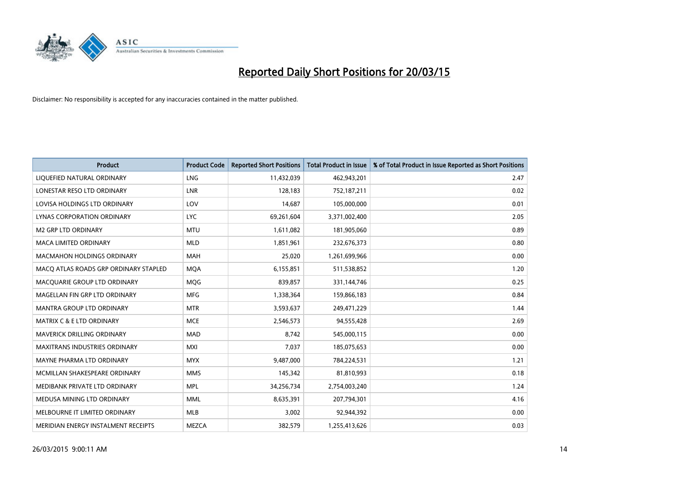

| <b>Product</b>                        | <b>Product Code</b> | <b>Reported Short Positions</b> | <b>Total Product in Issue</b> | % of Total Product in Issue Reported as Short Positions |
|---------------------------------------|---------------------|---------------------------------|-------------------------------|---------------------------------------------------------|
| LIQUEFIED NATURAL ORDINARY            | <b>LNG</b>          | 11,432,039                      | 462,943,201                   | 2.47                                                    |
| LONESTAR RESO LTD ORDINARY            | LNR                 | 128,183                         | 752,187,211                   | 0.02                                                    |
| LOVISA HOLDINGS LTD ORDINARY          | LOV                 | 14,687                          | 105,000,000                   | 0.01                                                    |
| LYNAS CORPORATION ORDINARY            | <b>LYC</b>          | 69,261,604                      | 3,371,002,400                 | 2.05                                                    |
| <b>M2 GRP LTD ORDINARY</b>            | <b>MTU</b>          | 1,611,082                       | 181,905,060                   | 0.89                                                    |
| <b>MACA LIMITED ORDINARY</b>          | <b>MLD</b>          | 1,851,961                       | 232,676,373                   | 0.80                                                    |
| <b>MACMAHON HOLDINGS ORDINARY</b>     | MAH                 | 25,020                          | 1,261,699,966                 | 0.00                                                    |
| MACO ATLAS ROADS GRP ORDINARY STAPLED | <b>MOA</b>          | 6,155,851                       | 511,538,852                   | 1.20                                                    |
| MACQUARIE GROUP LTD ORDINARY          | MQG                 | 839,857                         | 331,144,746                   | 0.25                                                    |
| MAGELLAN FIN GRP LTD ORDINARY         | <b>MFG</b>          | 1,338,364                       | 159,866,183                   | 0.84                                                    |
| MANTRA GROUP LTD ORDINARY             | <b>MTR</b>          | 3,593,637                       | 249,471,229                   | 1.44                                                    |
| <b>MATRIX C &amp; E LTD ORDINARY</b>  | <b>MCE</b>          | 2,546,573                       | 94,555,428                    | 2.69                                                    |
| MAVERICK DRILLING ORDINARY            | <b>MAD</b>          | 8,742                           | 545,000,115                   | 0.00                                                    |
| <b>MAXITRANS INDUSTRIES ORDINARY</b>  | <b>MXI</b>          | 7,037                           | 185,075,653                   | 0.00                                                    |
| MAYNE PHARMA LTD ORDINARY             | <b>MYX</b>          | 9,487,000                       | 784,224,531                   | 1.21                                                    |
| MCMILLAN SHAKESPEARE ORDINARY         | <b>MMS</b>          | 145,342                         | 81,810,993                    | 0.18                                                    |
| MEDIBANK PRIVATE LTD ORDINARY         | <b>MPL</b>          | 34,256,734                      | 2,754,003,240                 | 1.24                                                    |
| MEDUSA MINING LTD ORDINARY            | <b>MML</b>          | 8,635,391                       | 207,794,301                   | 4.16                                                    |
| MELBOURNE IT LIMITED ORDINARY         | <b>MLB</b>          | 3,002                           | 92,944,392                    | 0.00                                                    |
| MERIDIAN ENERGY INSTALMENT RECEIPTS   | <b>MEZCA</b>        | 382,579                         | 1,255,413,626                 | 0.03                                                    |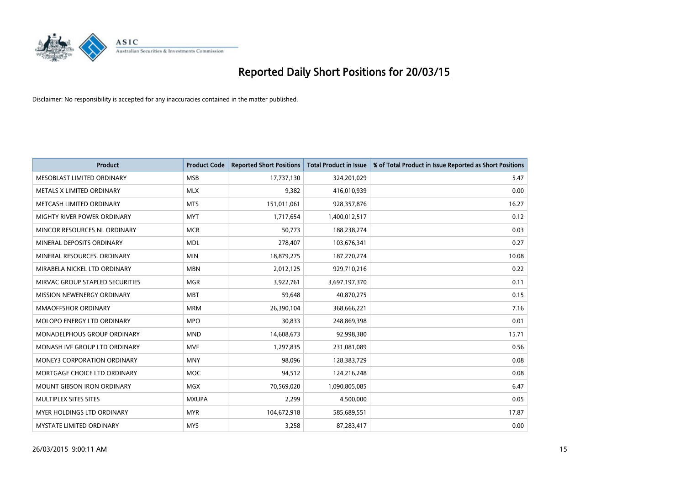

| <b>Product</b>                     | <b>Product Code</b> | <b>Reported Short Positions</b> | <b>Total Product in Issue</b> | % of Total Product in Issue Reported as Short Positions |
|------------------------------------|---------------------|---------------------------------|-------------------------------|---------------------------------------------------------|
| MESOBLAST LIMITED ORDINARY         | <b>MSB</b>          | 17,737,130                      | 324,201,029                   | 5.47                                                    |
| METALS X LIMITED ORDINARY          | <b>MLX</b>          | 9,382                           | 416,010,939                   | 0.00                                                    |
| METCASH LIMITED ORDINARY           | <b>MTS</b>          | 151,011,061                     | 928,357,876                   | 16.27                                                   |
| MIGHTY RIVER POWER ORDINARY        | <b>MYT</b>          | 1,717,654                       | 1,400,012,517                 | 0.12                                                    |
| MINCOR RESOURCES NL ORDINARY       | <b>MCR</b>          | 50,773                          | 188,238,274                   | 0.03                                                    |
| MINERAL DEPOSITS ORDINARY          | <b>MDL</b>          | 278,407                         | 103,676,341                   | 0.27                                                    |
| MINERAL RESOURCES, ORDINARY        | <b>MIN</b>          | 18,879,275                      | 187,270,274                   | 10.08                                                   |
| MIRABELA NICKEL LTD ORDINARY       | <b>MBN</b>          | 2,012,125                       | 929,710,216                   | 0.22                                                    |
| MIRVAC GROUP STAPLED SECURITIES    | <b>MGR</b>          | 3,922,761                       | 3,697,197,370                 | 0.11                                                    |
| MISSION NEWENERGY ORDINARY         | <b>MBT</b>          | 59,648                          | 40,870,275                    | 0.15                                                    |
| MMAOFFSHOR ORDINARY                | <b>MRM</b>          | 26,390,104                      | 368,666,221                   | 7.16                                                    |
| MOLOPO ENERGY LTD ORDINARY         | <b>MPO</b>          | 30,833                          | 248,869,398                   | 0.01                                                    |
| MONADELPHOUS GROUP ORDINARY        | <b>MND</b>          | 14,608,673                      | 92,998,380                    | 15.71                                                   |
| MONASH IVF GROUP LTD ORDINARY      | <b>MVF</b>          | 1,297,835                       | 231,081,089                   | 0.56                                                    |
| <b>MONEY3 CORPORATION ORDINARY</b> | <b>MNY</b>          | 98,096                          | 128,383,729                   | 0.08                                                    |
| MORTGAGE CHOICE LTD ORDINARY       | MOC                 | 94,512                          | 124,216,248                   | 0.08                                                    |
| MOUNT GIBSON IRON ORDINARY         | <b>MGX</b>          | 70,569,020                      | 1,090,805,085                 | 6.47                                                    |
| MULTIPLEX SITES SITES              | <b>MXUPA</b>        | 2,299                           | 4,500,000                     | 0.05                                                    |
| MYER HOLDINGS LTD ORDINARY         | <b>MYR</b>          | 104,672,918                     | 585,689,551                   | 17.87                                                   |
| <b>MYSTATE LIMITED ORDINARY</b>    | <b>MYS</b>          | 3,258                           | 87,283,417                    | 0.00                                                    |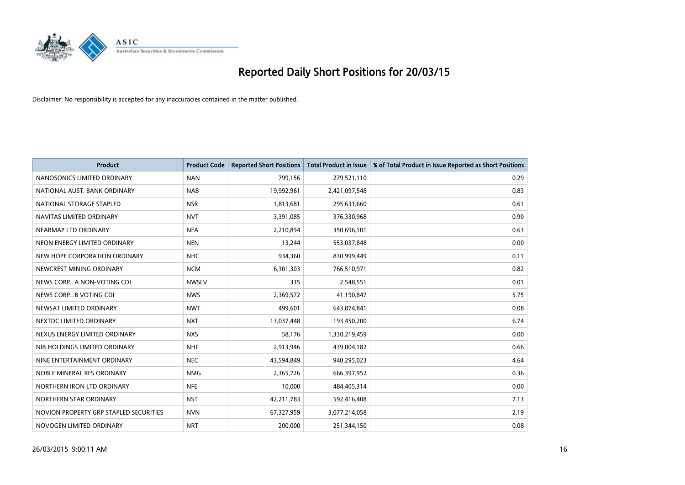

| <b>Product</b>                         | <b>Product Code</b> | <b>Reported Short Positions</b> | <b>Total Product in Issue</b> | % of Total Product in Issue Reported as Short Positions |
|----------------------------------------|---------------------|---------------------------------|-------------------------------|---------------------------------------------------------|
| NANOSONICS LIMITED ORDINARY            | <b>NAN</b>          | 799,156                         | 279,521,110                   | 0.29                                                    |
| NATIONAL AUST. BANK ORDINARY           | <b>NAB</b>          | 19,992,961                      | 2,421,097,548                 | 0.83                                                    |
| NATIONAL STORAGE STAPLED               | <b>NSR</b>          | 1,813,681                       | 295,631,660                   | 0.61                                                    |
| NAVITAS LIMITED ORDINARY               | <b>NVT</b>          | 3,391,085                       | 376,330,968                   | 0.90                                                    |
| NEARMAP LTD ORDINARY                   | <b>NEA</b>          | 2,210,894                       | 350,696,101                   | 0.63                                                    |
| NEON ENERGY LIMITED ORDINARY           | <b>NEN</b>          | 13,244                          | 553,037,848                   | 0.00                                                    |
| NEW HOPE CORPORATION ORDINARY          | <b>NHC</b>          | 934,360                         | 830,999,449                   | 0.11                                                    |
| NEWCREST MINING ORDINARY               | <b>NCM</b>          | 6,301,303                       | 766,510,971                   | 0.82                                                    |
| NEWS CORP A NON-VOTING CDI             | <b>NWSLV</b>        | 335                             | 2,548,551                     | 0.01                                                    |
| NEWS CORP B VOTING CDI                 | <b>NWS</b>          | 2,369,572                       | 41,190,847                    | 5.75                                                    |
| NEWSAT LIMITED ORDINARY                | <b>NWT</b>          | 499,601                         | 643,874,841                   | 0.08                                                    |
| NEXTDC LIMITED ORDINARY                | <b>NXT</b>          | 13,037,448                      | 193,450,200                   | 6.74                                                    |
| NEXUS ENERGY LIMITED ORDINARY          | <b>NXS</b>          | 58,176                          | 1,330,219,459                 | 0.00                                                    |
| NIB HOLDINGS LIMITED ORDINARY          | <b>NHF</b>          | 2,913,946                       | 439,004,182                   | 0.66                                                    |
| NINE ENTERTAINMENT ORDINARY            | <b>NEC</b>          | 43,594,849                      | 940,295,023                   | 4.64                                                    |
| NOBLE MINERAL RES ORDINARY             | <b>NMG</b>          | 2,365,726                       | 666,397,952                   | 0.36                                                    |
| NORTHERN IRON LTD ORDINARY             | <b>NFE</b>          | 10,000                          | 484,405,314                   | 0.00                                                    |
| NORTHERN STAR ORDINARY                 | <b>NST</b>          | 42,211,783                      | 592,416,408                   | 7.13                                                    |
| NOVION PROPERTY GRP STAPLED SECURITIES | <b>NVN</b>          | 67,327,959                      | 3,077,214,058                 | 2.19                                                    |
| NOVOGEN LIMITED ORDINARY               | <b>NRT</b>          | 200,000                         | 251,344,150                   | 0.08                                                    |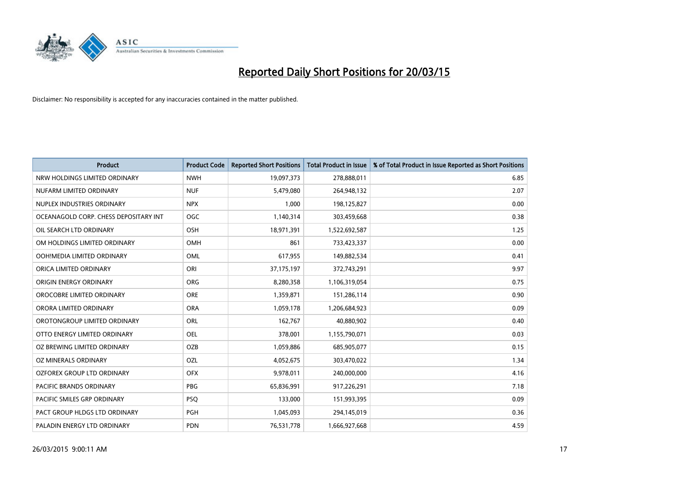

| <b>Product</b>                        | <b>Product Code</b> | <b>Reported Short Positions</b> | <b>Total Product in Issue</b> | % of Total Product in Issue Reported as Short Positions |
|---------------------------------------|---------------------|---------------------------------|-------------------------------|---------------------------------------------------------|
| NRW HOLDINGS LIMITED ORDINARY         | <b>NWH</b>          | 19,097,373                      | 278,888,011                   | 6.85                                                    |
| NUFARM LIMITED ORDINARY               | <b>NUF</b>          | 5,479,080                       | 264,948,132                   | 2.07                                                    |
| NUPLEX INDUSTRIES ORDINARY            | <b>NPX</b>          | 1,000                           | 198,125,827                   | 0.00                                                    |
| OCEANAGOLD CORP. CHESS DEPOSITARY INT | <b>OGC</b>          | 1,140,314                       | 303,459,668                   | 0.38                                                    |
| OIL SEARCH LTD ORDINARY               | OSH                 | 18,971,391                      | 1,522,692,587                 | 1.25                                                    |
| OM HOLDINGS LIMITED ORDINARY          | OMH                 | 861                             | 733,423,337                   | 0.00                                                    |
| OOH!MEDIA LIMITED ORDINARY            | OML                 | 617,955                         | 149,882,534                   | 0.41                                                    |
| ORICA LIMITED ORDINARY                | ORI                 | 37,175,197                      | 372,743,291                   | 9.97                                                    |
| ORIGIN ENERGY ORDINARY                | <b>ORG</b>          | 8,280,358                       | 1,106,319,054                 | 0.75                                                    |
| OROCOBRE LIMITED ORDINARY             | <b>ORE</b>          | 1,359,871                       | 151,286,114                   | 0.90                                                    |
| ORORA LIMITED ORDINARY                | <b>ORA</b>          | 1,059,178                       | 1,206,684,923                 | 0.09                                                    |
| OROTONGROUP LIMITED ORDINARY          | ORL                 | 162,767                         | 40,880,902                    | 0.40                                                    |
| OTTO ENERGY LIMITED ORDINARY          | <b>OEL</b>          | 378,001                         | 1,155,790,071                 | 0.03                                                    |
| OZ BREWING LIMITED ORDINARY           | OZB                 | 1,059,886                       | 685,905,077                   | 0.15                                                    |
| OZ MINERALS ORDINARY                  | OZL                 | 4,052,675                       | 303,470,022                   | 1.34                                                    |
| <b>OZFOREX GROUP LTD ORDINARY</b>     | <b>OFX</b>          | 9,978,011                       | 240,000,000                   | 4.16                                                    |
| PACIFIC BRANDS ORDINARY               | PBG                 | 65,836,991                      | 917,226,291                   | 7.18                                                    |
| PACIFIC SMILES GRP ORDINARY           | <b>PSQ</b>          | 133,000                         | 151,993,395                   | 0.09                                                    |
| PACT GROUP HLDGS LTD ORDINARY         | <b>PGH</b>          | 1,045,093                       | 294,145,019                   | 0.36                                                    |
| PALADIN ENERGY LTD ORDINARY           | <b>PDN</b>          | 76,531,778                      | 1,666,927,668                 | 4.59                                                    |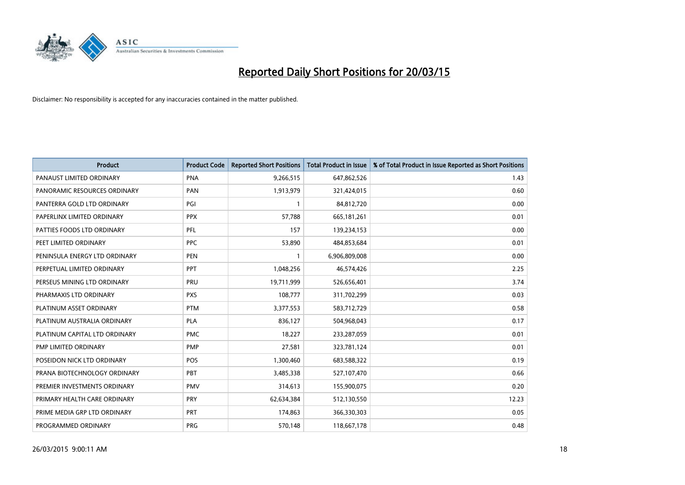

| <b>Product</b>                | <b>Product Code</b> | <b>Reported Short Positions</b> | <b>Total Product in Issue</b> | % of Total Product in Issue Reported as Short Positions |
|-------------------------------|---------------------|---------------------------------|-------------------------------|---------------------------------------------------------|
| PANAUST LIMITED ORDINARY      | <b>PNA</b>          | 9,266,515                       | 647,862,526                   | 1.43                                                    |
| PANORAMIC RESOURCES ORDINARY  | <b>PAN</b>          | 1,913,979                       | 321,424,015                   | 0.60                                                    |
| PANTERRA GOLD LTD ORDINARY    | PGI                 | $\mathbf{1}$                    | 84,812,720                    | 0.00                                                    |
| PAPERLINX LIMITED ORDINARY    | <b>PPX</b>          | 57,788                          | 665,181,261                   | 0.01                                                    |
| PATTIES FOODS LTD ORDINARY    | PFL                 | 157                             | 139,234,153                   | 0.00                                                    |
| PEET LIMITED ORDINARY         | <b>PPC</b>          | 53,890                          | 484,853,684                   | 0.01                                                    |
| PENINSULA ENERGY LTD ORDINARY | <b>PEN</b>          |                                 | 6,906,809,008                 | 0.00                                                    |
| PERPETUAL LIMITED ORDINARY    | PPT                 | 1,048,256                       | 46,574,426                    | 2.25                                                    |
| PERSEUS MINING LTD ORDINARY   | PRU                 | 19,711,999                      | 526,656,401                   | 3.74                                                    |
| PHARMAXIS LTD ORDINARY        | <b>PXS</b>          | 108,777                         | 311,702,299                   | 0.03                                                    |
| PLATINUM ASSET ORDINARY       | <b>PTM</b>          | 3,377,553                       | 583,712,729                   | 0.58                                                    |
| PLATINUM AUSTRALIA ORDINARY   | <b>PLA</b>          | 836,127                         | 504,968,043                   | 0.17                                                    |
| PLATINUM CAPITAL LTD ORDINARY | <b>PMC</b>          | 18,227                          | 233,287,059                   | 0.01                                                    |
| PMP LIMITED ORDINARY          | <b>PMP</b>          | 27,581                          | 323,781,124                   | 0.01                                                    |
| POSEIDON NICK LTD ORDINARY    | POS                 | 1,300,460                       | 683,588,322                   | 0.19                                                    |
| PRANA BIOTECHNOLOGY ORDINARY  | <b>PBT</b>          | 3,485,338                       | 527,107,470                   | 0.66                                                    |
| PREMIER INVESTMENTS ORDINARY  | <b>PMV</b>          | 314,613                         | 155,900,075                   | 0.20                                                    |
| PRIMARY HEALTH CARE ORDINARY  | <b>PRY</b>          | 62,634,384                      | 512,130,550                   | 12.23                                                   |
| PRIME MEDIA GRP LTD ORDINARY  | <b>PRT</b>          | 174,863                         | 366,330,303                   | 0.05                                                    |
| PROGRAMMED ORDINARY           | <b>PRG</b>          | 570,148                         | 118,667,178                   | 0.48                                                    |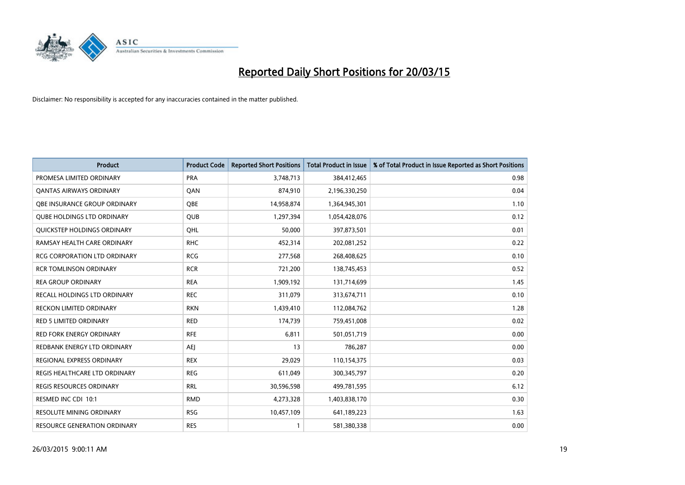

| <b>Product</b>                      | <b>Product Code</b> | <b>Reported Short Positions</b> | <b>Total Product in Issue</b> | % of Total Product in Issue Reported as Short Positions |
|-------------------------------------|---------------------|---------------------------------|-------------------------------|---------------------------------------------------------|
| PROMESA LIMITED ORDINARY            | <b>PRA</b>          | 3,748,713                       | 384,412,465                   | 0.98                                                    |
| <b>QANTAS AIRWAYS ORDINARY</b>      | QAN                 | 874,910                         | 2,196,330,250                 | 0.04                                                    |
| OBE INSURANCE GROUP ORDINARY        | OBE                 | 14,958,874                      | 1,364,945,301                 | 1.10                                                    |
| <b>OUBE HOLDINGS LTD ORDINARY</b>   | QUB                 | 1,297,394                       | 1,054,428,076                 | 0.12                                                    |
| QUICKSTEP HOLDINGS ORDINARY         | OHL                 | 50,000                          | 397,873,501                   | 0.01                                                    |
| RAMSAY HEALTH CARE ORDINARY         | <b>RHC</b>          | 452,314                         | 202,081,252                   | 0.22                                                    |
| <b>RCG CORPORATION LTD ORDINARY</b> | <b>RCG</b>          | 277,568                         | 268,408,625                   | 0.10                                                    |
| <b>RCR TOMLINSON ORDINARY</b>       | <b>RCR</b>          | 721,200                         | 138,745,453                   | 0.52                                                    |
| <b>REA GROUP ORDINARY</b>           | <b>REA</b>          | 1,909,192                       | 131,714,699                   | 1.45                                                    |
| RECALL HOLDINGS LTD ORDINARY        | <b>REC</b>          | 311,079                         | 313,674,711                   | 0.10                                                    |
| RECKON LIMITED ORDINARY             | <b>RKN</b>          | 1,439,410                       | 112,084,762                   | 1.28                                                    |
| <b>RED 5 LIMITED ORDINARY</b>       | <b>RED</b>          | 174,739                         | 759,451,008                   | 0.02                                                    |
| <b>RED FORK ENERGY ORDINARY</b>     | <b>RFE</b>          | 6,811                           | 501,051,719                   | 0.00                                                    |
| REDBANK ENERGY LTD ORDINARY         | AEJ                 | 13                              | 786,287                       | 0.00                                                    |
| REGIONAL EXPRESS ORDINARY           | <b>REX</b>          | 29,029                          | 110,154,375                   | 0.03                                                    |
| REGIS HEALTHCARE LTD ORDINARY       | <b>REG</b>          | 611,049                         | 300, 345, 797                 | 0.20                                                    |
| REGIS RESOURCES ORDINARY            | <b>RRL</b>          | 30,596,598                      | 499,781,595                   | 6.12                                                    |
| RESMED INC CDI 10:1                 | <b>RMD</b>          | 4,273,328                       | 1,403,838,170                 | 0.30                                                    |
| <b>RESOLUTE MINING ORDINARY</b>     | <b>RSG</b>          | 10,457,109                      | 641,189,223                   | 1.63                                                    |
| <b>RESOURCE GENERATION ORDINARY</b> | <b>RES</b>          |                                 | 581,380,338                   | 0.00                                                    |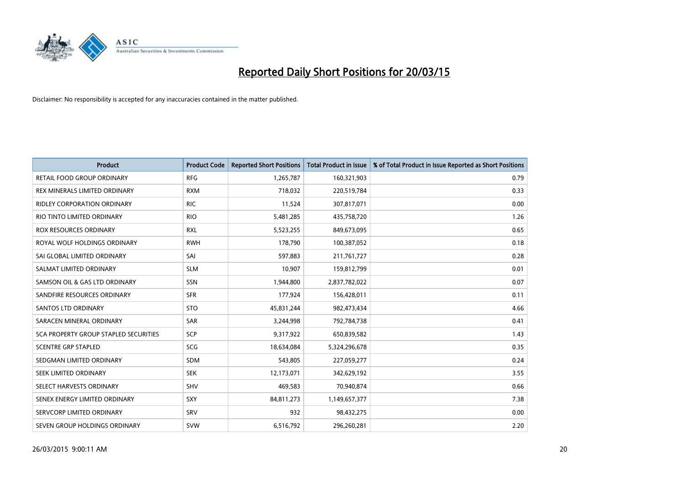

| <b>Product</b>                               | <b>Product Code</b> | <b>Reported Short Positions</b> | <b>Total Product in Issue</b> | % of Total Product in Issue Reported as Short Positions |
|----------------------------------------------|---------------------|---------------------------------|-------------------------------|---------------------------------------------------------|
| <b>RETAIL FOOD GROUP ORDINARY</b>            | <b>RFG</b>          | 1,265,787                       | 160,321,903                   | 0.79                                                    |
| REX MINERALS LIMITED ORDINARY                | <b>RXM</b>          | 718,032                         | 220,519,784                   | 0.33                                                    |
| <b>RIDLEY CORPORATION ORDINARY</b>           | <b>RIC</b>          | 11,524                          | 307,817,071                   | 0.00                                                    |
| RIO TINTO LIMITED ORDINARY                   | <b>RIO</b>          | 5,481,285                       | 435,758,720                   | 1.26                                                    |
| <b>ROX RESOURCES ORDINARY</b>                | <b>RXL</b>          | 5,523,255                       | 849,673,095                   | 0.65                                                    |
| ROYAL WOLF HOLDINGS ORDINARY                 | <b>RWH</b>          | 178,790                         | 100,387,052                   | 0.18                                                    |
| SAI GLOBAL LIMITED ORDINARY                  | SAI                 | 597,883                         | 211,761,727                   | 0.28                                                    |
| SALMAT LIMITED ORDINARY                      | <b>SLM</b>          | 10,907                          | 159,812,799                   | 0.01                                                    |
| SAMSON OIL & GAS LTD ORDINARY                | SSN                 | 1,944,800                       | 2,837,782,022                 | 0.07                                                    |
| SANDFIRE RESOURCES ORDINARY                  | <b>SFR</b>          | 177,924                         | 156,428,011                   | 0.11                                                    |
| <b>SANTOS LTD ORDINARY</b>                   | <b>STO</b>          | 45,831,244                      | 982,473,434                   | 4.66                                                    |
| SARACEN MINERAL ORDINARY                     | SAR                 | 3,244,998                       | 792,784,738                   | 0.41                                                    |
| <b>SCA PROPERTY GROUP STAPLED SECURITIES</b> | SCP                 | 9,317,922                       | 650,839,582                   | 1.43                                                    |
| <b>SCENTRE GRP STAPLED</b>                   | SCG                 | 18,634,084                      | 5,324,296,678                 | 0.35                                                    |
| SEDGMAN LIMITED ORDINARY                     | <b>SDM</b>          | 543,805                         | 227,059,277                   | 0.24                                                    |
| SEEK LIMITED ORDINARY                        | <b>SEK</b>          | 12,173,071                      | 342,629,192                   | 3.55                                                    |
| SELECT HARVESTS ORDINARY                     | SHV                 | 469,583                         | 70,940,874                    | 0.66                                                    |
| SENEX ENERGY LIMITED ORDINARY                | <b>SXY</b>          | 84,811,273                      | 1,149,657,377                 | 7.38                                                    |
| SERVCORP LIMITED ORDINARY                    | SRV                 | 932                             | 98,432,275                    | 0.00                                                    |
| SEVEN GROUP HOLDINGS ORDINARY                | <b>SVW</b>          | 6,516,792                       | 296,260,281                   | 2.20                                                    |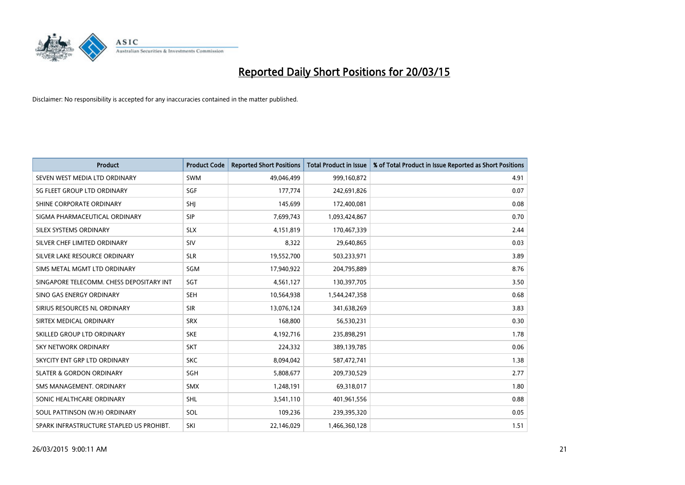

| <b>Product</b>                           | <b>Product Code</b> | <b>Reported Short Positions</b> | <b>Total Product in Issue</b> | % of Total Product in Issue Reported as Short Positions |
|------------------------------------------|---------------------|---------------------------------|-------------------------------|---------------------------------------------------------|
| SEVEN WEST MEDIA LTD ORDINARY            | <b>SWM</b>          | 49,046,499                      | 999,160,872                   | 4.91                                                    |
| SG FLEET GROUP LTD ORDINARY              | <b>SGF</b>          | 177,774                         | 242,691,826                   | 0.07                                                    |
| SHINE CORPORATE ORDINARY                 | <b>SHI</b>          | 145,699                         | 172,400,081                   | 0.08                                                    |
| SIGMA PHARMACEUTICAL ORDINARY            | <b>SIP</b>          | 7,699,743                       | 1,093,424,867                 | 0.70                                                    |
| SILEX SYSTEMS ORDINARY                   | <b>SLX</b>          | 4,151,819                       | 170,467,339                   | 2.44                                                    |
| SILVER CHEF LIMITED ORDINARY             | SIV                 | 8,322                           | 29,640,865                    | 0.03                                                    |
| SILVER LAKE RESOURCE ORDINARY            | <b>SLR</b>          | 19,552,700                      | 503,233,971                   | 3.89                                                    |
| SIMS METAL MGMT LTD ORDINARY             | SGM                 | 17,940,922                      | 204,795,889                   | 8.76                                                    |
| SINGAPORE TELECOMM. CHESS DEPOSITARY INT | <b>SGT</b>          | 4,561,127                       | 130,397,705                   | 3.50                                                    |
| SINO GAS ENERGY ORDINARY                 | <b>SEH</b>          | 10,564,938                      | 1,544,247,358                 | 0.68                                                    |
| SIRIUS RESOURCES NL ORDINARY             | <b>SIR</b>          | 13,076,124                      | 341,638,269                   | 3.83                                                    |
| SIRTEX MEDICAL ORDINARY                  | <b>SRX</b>          | 168,800                         | 56,530,231                    | 0.30                                                    |
| SKILLED GROUP LTD ORDINARY               | <b>SKE</b>          | 4,192,716                       | 235,898,291                   | 1.78                                                    |
| <b>SKY NETWORK ORDINARY</b>              | <b>SKT</b>          | 224,332                         | 389,139,785                   | 0.06                                                    |
| SKYCITY ENT GRP LTD ORDINARY             | <b>SKC</b>          | 8,094,042                       | 587,472,741                   | 1.38                                                    |
| <b>SLATER &amp; GORDON ORDINARY</b>      | SGH                 | 5,808,677                       | 209,730,529                   | 2.77                                                    |
| SMS MANAGEMENT. ORDINARY                 | <b>SMX</b>          | 1,248,191                       | 69,318,017                    | 1.80                                                    |
| SONIC HEALTHCARE ORDINARY                | <b>SHL</b>          | 3,541,110                       | 401,961,556                   | 0.88                                                    |
| SOUL PATTINSON (W.H) ORDINARY            | SOL                 | 109,236                         | 239,395,320                   | 0.05                                                    |
| SPARK INFRASTRUCTURE STAPLED US PROHIBT. | SKI                 | 22,146,029                      | 1,466,360,128                 | 1.51                                                    |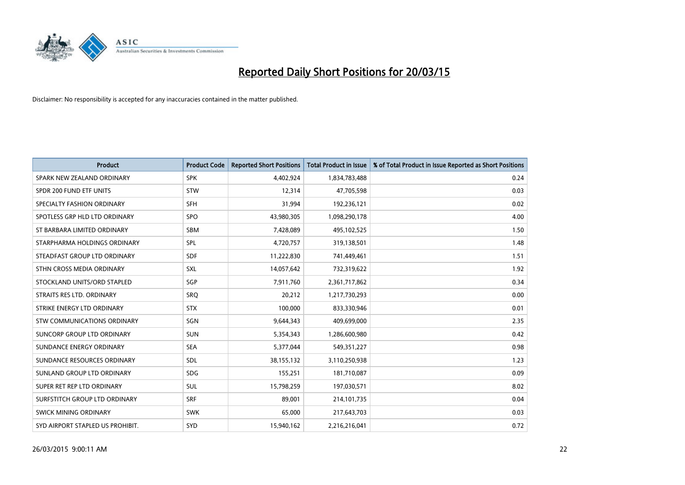

| <b>Product</b>                   | <b>Product Code</b> | <b>Reported Short Positions</b> | <b>Total Product in Issue</b> | % of Total Product in Issue Reported as Short Positions |
|----------------------------------|---------------------|---------------------------------|-------------------------------|---------------------------------------------------------|
| SPARK NEW ZEALAND ORDINARY       | <b>SPK</b>          | 4,402,924                       | 1,834,783,488                 | 0.24                                                    |
| SPDR 200 FUND ETF UNITS          | <b>STW</b>          | 12,314                          | 47,705,598                    | 0.03                                                    |
| SPECIALTY FASHION ORDINARY       | <b>SFH</b>          | 31,994                          | 192,236,121                   | 0.02                                                    |
| SPOTLESS GRP HLD LTD ORDINARY    | <b>SPO</b>          | 43,980,305                      | 1,098,290,178                 | 4.00                                                    |
| ST BARBARA LIMITED ORDINARY      | <b>SBM</b>          | 7,428,089                       | 495,102,525                   | 1.50                                                    |
| STARPHARMA HOLDINGS ORDINARY     | SPL                 | 4,720,757                       | 319,138,501                   | 1.48                                                    |
| STEADFAST GROUP LTD ORDINARY     | <b>SDF</b>          | 11,222,830                      | 741,449,461                   | 1.51                                                    |
| STHN CROSS MEDIA ORDINARY        | SXL                 | 14,057,642                      | 732,319,622                   | 1.92                                                    |
| STOCKLAND UNITS/ORD STAPLED      | SGP                 | 7,911,760                       | 2,361,717,862                 | 0.34                                                    |
| STRAITS RES LTD. ORDINARY        | <b>SRO</b>          | 20,212                          | 1,217,730,293                 | 0.00                                                    |
| STRIKE ENERGY LTD ORDINARY       | <b>STX</b>          | 100,000                         | 833,330,946                   | 0.01                                                    |
| STW COMMUNICATIONS ORDINARY      | SGN                 | 9,644,343                       | 409,699,000                   | 2.35                                                    |
| SUNCORP GROUP LTD ORDINARY       | <b>SUN</b>          | 5,354,343                       | 1,286,600,980                 | 0.42                                                    |
| SUNDANCE ENERGY ORDINARY         | <b>SEA</b>          | 5,377,044                       | 549,351,227                   | 0.98                                                    |
| SUNDANCE RESOURCES ORDINARY      | SDL                 | 38, 155, 132                    | 3,110,250,938                 | 1.23                                                    |
| SUNLAND GROUP LTD ORDINARY       | <b>SDG</b>          | 155,251                         | 181,710,087                   | 0.09                                                    |
| SUPER RET REP LTD ORDINARY       | SUL                 | 15,798,259                      | 197,030,571                   | 8.02                                                    |
| SURFSTITCH GROUP LTD ORDINARY    | <b>SRF</b>          | 89,001                          | 214,101,735                   | 0.04                                                    |
| SWICK MINING ORDINARY            | <b>SWK</b>          | 65,000                          | 217,643,703                   | 0.03                                                    |
| SYD AIRPORT STAPLED US PROHIBIT. | <b>SYD</b>          | 15,940,162                      | 2,216,216,041                 | 0.72                                                    |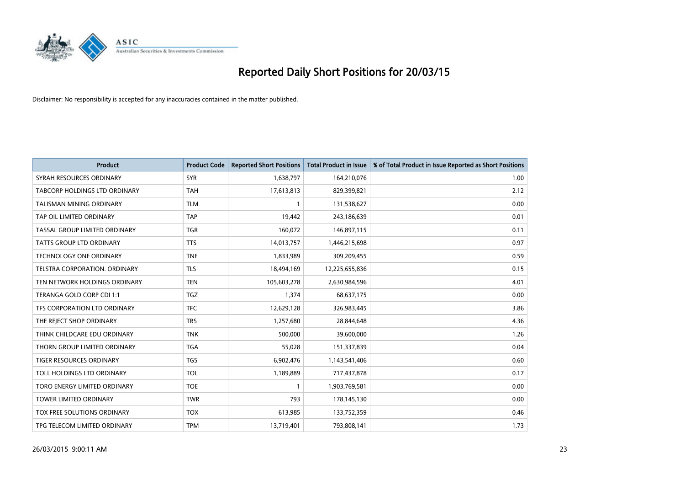

| <b>Product</b>                       | <b>Product Code</b> | <b>Reported Short Positions</b> | <b>Total Product in Issue</b> | % of Total Product in Issue Reported as Short Positions |
|--------------------------------------|---------------------|---------------------------------|-------------------------------|---------------------------------------------------------|
| SYRAH RESOURCES ORDINARY             | <b>SYR</b>          | 1,638,797                       | 164,210,076                   | 1.00                                                    |
| <b>TABCORP HOLDINGS LTD ORDINARY</b> | <b>TAH</b>          | 17,613,813                      | 829,399,821                   | 2.12                                                    |
| TALISMAN MINING ORDINARY             | <b>TLM</b>          | 1                               | 131,538,627                   | 0.00                                                    |
| TAP OIL LIMITED ORDINARY             | <b>TAP</b>          | 19,442                          | 243,186,639                   | 0.01                                                    |
| TASSAL GROUP LIMITED ORDINARY        | <b>TGR</b>          | 160,072                         | 146,897,115                   | 0.11                                                    |
| <b>TATTS GROUP LTD ORDINARY</b>      | <b>TTS</b>          | 14,013,757                      | 1,446,215,698                 | 0.97                                                    |
| <b>TECHNOLOGY ONE ORDINARY</b>       | <b>TNE</b>          | 1,833,989                       | 309,209,455                   | 0.59                                                    |
| TELSTRA CORPORATION, ORDINARY        | <b>TLS</b>          | 18,494,169                      | 12,225,655,836                | 0.15                                                    |
| TEN NETWORK HOLDINGS ORDINARY        | <b>TEN</b>          | 105,603,278                     | 2,630,984,596                 | 4.01                                                    |
| TERANGA GOLD CORP CDI 1:1            | <b>TGZ</b>          | 1,374                           | 68,637,175                    | 0.00                                                    |
| TFS CORPORATION LTD ORDINARY         | <b>TFC</b>          | 12,629,128                      | 326,983,445                   | 3.86                                                    |
| THE REJECT SHOP ORDINARY             | <b>TRS</b>          | 1,257,680                       | 28,844,648                    | 4.36                                                    |
| THINK CHILDCARE EDU ORDINARY         | <b>TNK</b>          | 500,000                         | 39,600,000                    | 1.26                                                    |
| THORN GROUP LIMITED ORDINARY         | <b>TGA</b>          | 55,028                          | 151,337,839                   | 0.04                                                    |
| TIGER RESOURCES ORDINARY             | <b>TGS</b>          | 6,902,476                       | 1,143,541,406                 | 0.60                                                    |
| TOLL HOLDINGS LTD ORDINARY           | <b>TOL</b>          | 1,189,889                       | 717,437,878                   | 0.17                                                    |
| TORO ENERGY LIMITED ORDINARY         | <b>TOE</b>          | 1                               | 1,903,769,581                 | 0.00                                                    |
| <b>TOWER LIMITED ORDINARY</b>        | <b>TWR</b>          | 793                             | 178,145,130                   | 0.00                                                    |
| TOX FREE SOLUTIONS ORDINARY          | <b>TOX</b>          | 613,985                         | 133,752,359                   | 0.46                                                    |
| TPG TELECOM LIMITED ORDINARY         | <b>TPM</b>          | 13,719,401                      | 793,808,141                   | 1.73                                                    |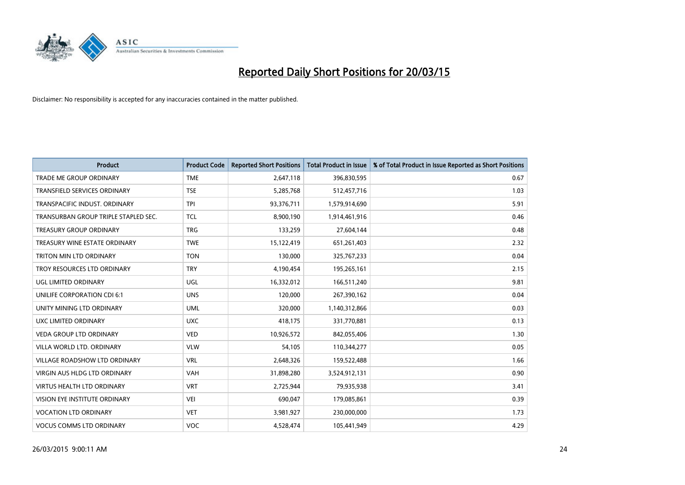

| <b>Product</b>                       | <b>Product Code</b> | <b>Reported Short Positions</b> | <b>Total Product in Issue</b> | % of Total Product in Issue Reported as Short Positions |
|--------------------------------------|---------------------|---------------------------------|-------------------------------|---------------------------------------------------------|
| <b>TRADE ME GROUP ORDINARY</b>       | <b>TME</b>          | 2,647,118                       | 396,830,595                   | 0.67                                                    |
| TRANSFIELD SERVICES ORDINARY         | <b>TSE</b>          | 5,285,768                       | 512,457,716                   | 1.03                                                    |
| TRANSPACIFIC INDUST, ORDINARY        | <b>TPI</b>          | 93,376,711                      | 1,579,914,690                 | 5.91                                                    |
| TRANSURBAN GROUP TRIPLE STAPLED SEC. | <b>TCL</b>          | 8,900,190                       | 1,914,461,916                 | 0.46                                                    |
| <b>TREASURY GROUP ORDINARY</b>       | <b>TRG</b>          | 133,259                         | 27,604,144                    | 0.48                                                    |
| TREASURY WINE ESTATE ORDINARY        | <b>TWE</b>          | 15,122,419                      | 651,261,403                   | 2.32                                                    |
| TRITON MIN LTD ORDINARY              | <b>TON</b>          | 130,000                         | 325,767,233                   | 0.04                                                    |
| TROY RESOURCES LTD ORDINARY          | <b>TRY</b>          | 4,190,454                       | 195,265,161                   | 2.15                                                    |
| UGL LIMITED ORDINARY                 | UGL                 | 16,332,012                      | 166,511,240                   | 9.81                                                    |
| UNILIFE CORPORATION CDI 6:1          | <b>UNS</b>          | 120,000                         | 267,390,162                   | 0.04                                                    |
| UNITY MINING LTD ORDINARY            | <b>UML</b>          | 320,000                         | 1,140,312,866                 | 0.03                                                    |
| UXC LIMITED ORDINARY                 | <b>UXC</b>          | 418,175                         | 331,770,881                   | 0.13                                                    |
| <b>VEDA GROUP LTD ORDINARY</b>       | <b>VED</b>          | 10,926,572                      | 842,055,406                   | 1.30                                                    |
| VILLA WORLD LTD, ORDINARY            | <b>VLW</b>          | 54,105                          | 110,344,277                   | 0.05                                                    |
| <b>VILLAGE ROADSHOW LTD ORDINARY</b> | <b>VRL</b>          | 2,648,326                       | 159,522,488                   | 1.66                                                    |
| <b>VIRGIN AUS HLDG LTD ORDINARY</b>  | <b>VAH</b>          | 31,898,280                      | 3,524,912,131                 | 0.90                                                    |
| VIRTUS HEALTH LTD ORDINARY           | <b>VRT</b>          | 2,725,944                       | 79,935,938                    | 3.41                                                    |
| VISION EYE INSTITUTE ORDINARY        | <b>VEI</b>          | 690,047                         | 179,085,861                   | 0.39                                                    |
| <b>VOCATION LTD ORDINARY</b>         | <b>VET</b>          | 3,981,927                       | 230,000,000                   | 1.73                                                    |
| <b>VOCUS COMMS LTD ORDINARY</b>      | <b>VOC</b>          | 4,528,474                       | 105,441,949                   | 4.29                                                    |